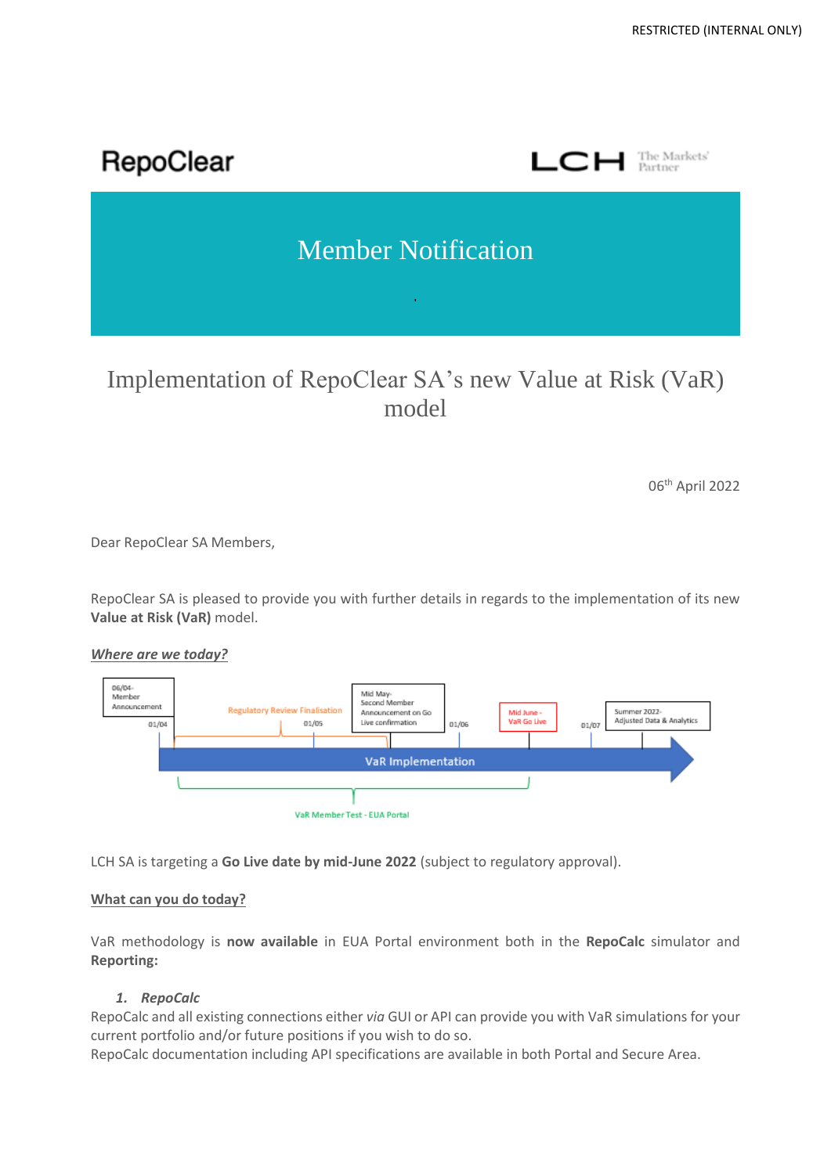

# Implementation of RepoClear SA's new Value at Risk (VaR) model

06 th April 2022

Dear RepoClear SA Members,

RepoClear SA is pleased to provide you with further details in regards to the implementation of its new **Value at Risk (VaR)** model.

*Where are we today?*



LCH SA is targeting a **Go Live date by mid-June 2022** (subject to regulatory approval).

## **What can you do today?**

VaR methodology is **now available** in EUA Portal environment both in the **RepoCalc** simulator and **Reporting:**

## *1. RepoCalc*

RepoCalc and all existing connections either *via* GUI or API can provide you with VaR simulations for your current portfolio and/or future positions if you wish to do so.

RepoCalc documentation including API specifications are available in both Portal and Secure Area.